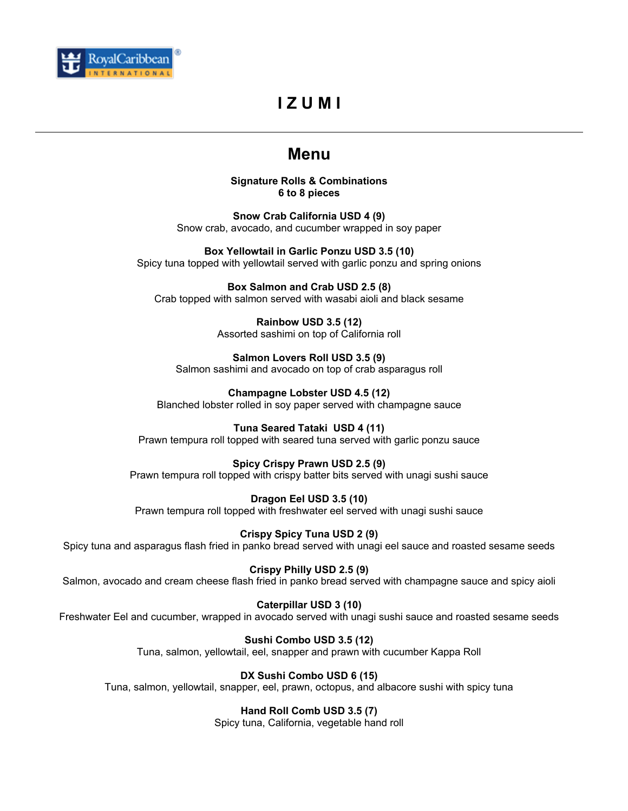

# **I Z U M I**

## **Menu**

**Signature Rolls & Combinations 6 to 8 pieces** 

**Snow Crab California USD 4 (9)**  Snow crab, avocado, and cucumber wrapped in soy paper

**Box Yellowtail in Garlic Ponzu USD 3.5 (10)**  Spicy tuna topped with yellowtail served with garlic ponzu and spring onions

**Box Salmon and Crab USD 2.5 (8)**  Crab topped with salmon served with wasabi aioli and black sesame

> **Rainbow USD 3.5 (12)**  Assorted sashimi on top of California roll

**Salmon Lovers Roll USD 3.5 (9)**  Salmon sashimi and avocado on top of crab asparagus roll

**Champagne Lobster USD 4.5 (12)**  Blanched lobster rolled in soy paper served with champagne sauce

**Tuna Seared Tataki USD 4 (11)**  Prawn tempura roll topped with seared tuna served with garlic ponzu sauce

**Spicy Crispy Prawn USD 2.5 (9)**  Prawn tempura roll topped with crispy batter bits served with unagi sushi sauce

**Dragon Eel USD 3.5 (10)**  Prawn tempura roll topped with freshwater eel served with unagi sushi sauce

**Crispy Spicy Tuna USD 2 (9)**  Spicy tuna and asparagus flash fried in panko bread served with unagi eel sauce and roasted sesame seeds

**Crispy Philly USD 2.5 (9)** 

Salmon, avocado and cream cheese flash fried in panko bread served with champagne sauce and spicy aioli

**Caterpillar USD 3 (10)** 

Freshwater Eel and cucumber, wrapped in avocado served with unagi sushi sauce and roasted sesame seeds

**Sushi Combo USD 3.5 (12)** 

Tuna, salmon, yellowtail, eel, snapper and prawn with cucumber Kappa Roll

**DX Sushi Combo USD 6 (15)** 

Tuna, salmon, yellowtail, snapper, eel, prawn, octopus, and albacore sushi with spicy tuna

**Hand Roll Comb USD 3.5 (7)** 

Spicy tuna, California, vegetable hand roll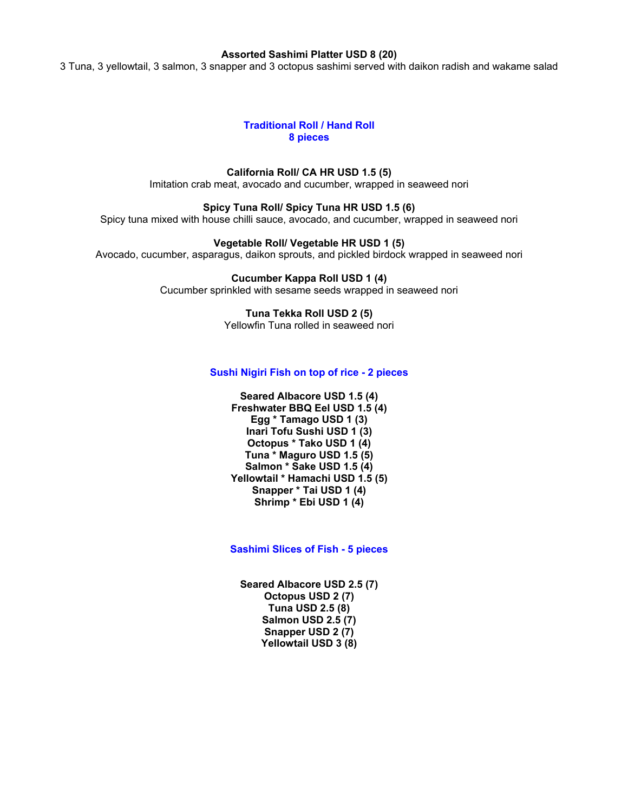#### **Assorted Sashimi Platter USD 8 (20)**

3 Tuna, 3 yellowtail, 3 salmon, 3 snapper and 3 octopus sashimi served with daikon radish and wakame salad

#### **Traditional Roll / Hand Roll 8 pieces**

**California Roll/ CA HR USD 1.5 (5)**  Imitation crab meat, avocado and cucumber, wrapped in seaweed nori

**Spicy Tuna Roll/ Spicy Tuna HR USD 1.5 (6)**  Spicy tuna mixed with house chilli sauce, avocado, and cucumber, wrapped in seaweed nori

**Vegetable Roll/ Vegetable HR USD 1 (5)**  Avocado, cucumber, asparagus, daikon sprouts, and pickled birdock wrapped in seaweed nori

> **Cucumber Kappa Roll USD 1 (4)**  Cucumber sprinkled with sesame seeds wrapped in seaweed nori

> > **Tuna Tekka Roll USD 2 (5)**  Yellowfin Tuna rolled in seaweed nori

#### **Sushi Nigiri Fish on top of rice - 2 pieces**

**Seared Albacore USD 1.5 (4) Freshwater BBQ Eel USD 1.5 (4) Egg \* Tamago USD 1 (3) Inari Tofu Sushi USD 1 (3) Octopus \* Tako USD 1 (4) Tuna \* Maguro USD 1.5 (5) Salmon \* Sake USD 1.5 (4) Yellowtail \* Hamachi USD 1.5 (5) Snapper \* Tai USD 1 (4) Shrimp \* Ebi USD 1 (4)** 

**Sashimi Slices of Fish - 5 pieces** 

**Seared Albacore USD 2.5 (7) Octopus USD 2 (7) Tuna USD 2.5 (8) Salmon USD 2.5 (7) Snapper USD 2 (7) Yellowtail USD 3 (8)**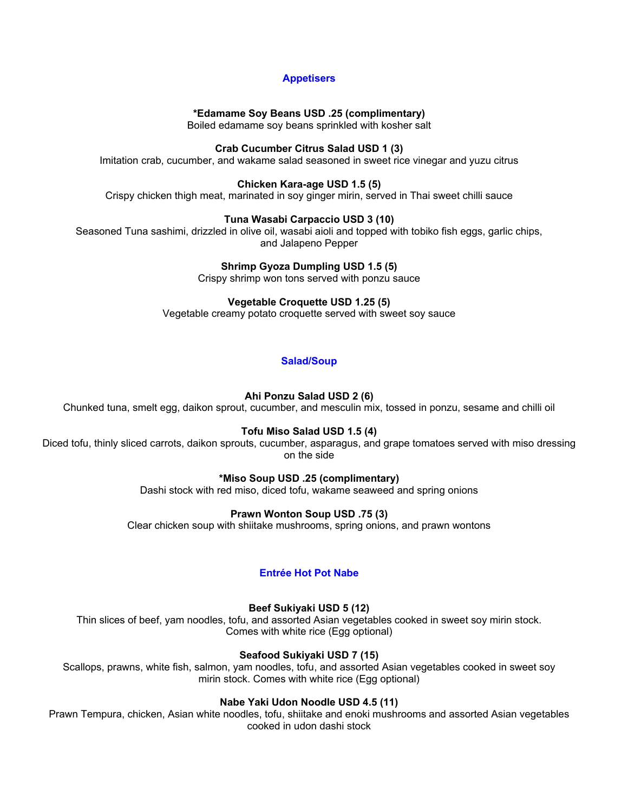## **Appetisers**

### **\*Edamame Soy Beans USD .25 (complimentary)**

Boiled edamame soy beans sprinkled with kosher salt

#### **Crab Cucumber Citrus Salad USD 1 (3)**

Imitation crab, cucumber, and wakame salad seasoned in sweet rice vinegar and yuzu citrus

## **Chicken Kara-age USD 1.5 (5)**

Crispy chicken thigh meat, marinated in soy ginger mirin, served in Thai sweet chilli sauce

#### **Tuna Wasabi Carpaccio USD 3 (10)**

Seasoned Tuna sashimi, drizzled in olive oil, wasabi aioli and topped with tobiko fish eggs, garlic chips, and Jalapeno Pepper

**Shrimp Gyoza Dumpling USD 1.5 (5)** 

Crispy shrimp won tons served with ponzu sauce

## **Vegetable Croquette USD 1.25 (5)**

Vegetable creamy potato croquette served with sweet soy sauce

## **Salad/Soup**

## **Ahi Ponzu Salad USD 2 (6)**

Chunked tuna, smelt egg, daikon sprout, cucumber, and mesculin mix, tossed in ponzu, sesame and chilli oil

#### **Tofu Miso Salad USD 1.5 (4)**

Diced tofu, thinly sliced carrots, daikon sprouts, cucumber, asparagus, and grape tomatoes served with miso dressing on the side

## **\*Miso Soup USD .25 (complimentary)**

Dashi stock with red miso, diced tofu, wakame seaweed and spring onions

## **Prawn Wonton Soup USD .75 (3)**

Clear chicken soup with shiitake mushrooms, spring onions, and prawn wontons

## **Entrée Hot Pot Nabe**

## **Beef Sukiyaki USD 5 (12)**

Thin slices of beef, yam noodles, tofu, and assorted Asian vegetables cooked in sweet soy mirin stock. Comes with white rice (Egg optional)

#### **Seafood Sukiyaki USD 7 (15)**

Scallops, prawns, white fish, salmon, yam noodles, tofu, and assorted Asian vegetables cooked in sweet soy mirin stock. Comes with white rice (Egg optional)

#### **Nabe Yaki Udon Noodle USD 4.5 (11)**

Prawn Tempura, chicken, Asian white noodles, tofu, shiitake and enoki mushrooms and assorted Asian vegetables cooked in udon dashi stock